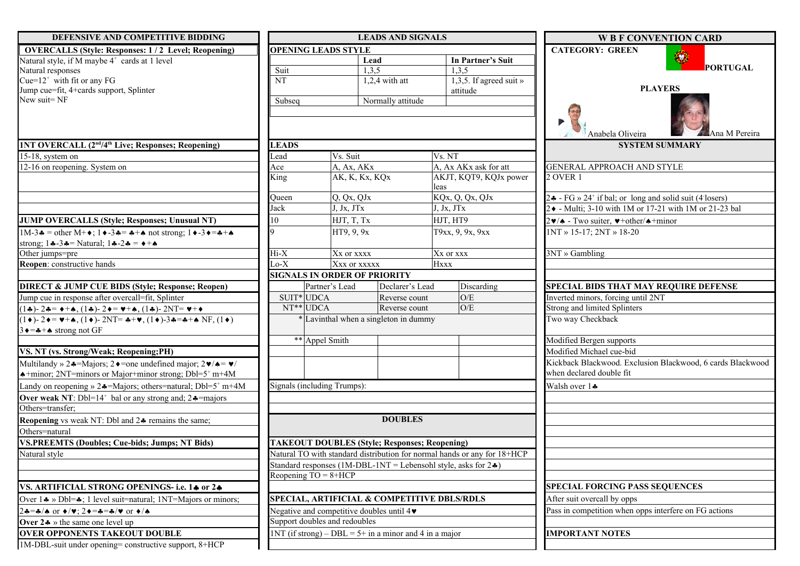| DEFENSIVE AND COMPETITIVE BIDDING                                                                                                                                                                    |                                             |                                          | <b>LEADS AND SIGNALS</b>                                 |                                                                           | <b>W B F CONVENTION CARD</b>                                                              |
|------------------------------------------------------------------------------------------------------------------------------------------------------------------------------------------------------|---------------------------------------------|------------------------------------------|----------------------------------------------------------|---------------------------------------------------------------------------|-------------------------------------------------------------------------------------------|
| <b>OVERCALLS (Style: Responses: 1/2 Level; Reopening)</b>                                                                                                                                            |                                             | <b>OPENING LEADS STYLE</b>               |                                                          |                                                                           | <b>CATEGORY: GREEN</b>                                                                    |
| Natural style, if M maybe 4 <sup>+</sup> cards at 1 level                                                                                                                                            |                                             |                                          | Lead                                                     | In Partner's Suit                                                         | ۰                                                                                         |
| Natural responses                                                                                                                                                                                    | Suit                                        |                                          | 1,3,5                                                    | 1,3,5                                                                     | PORTUGAL                                                                                  |
| Cue= $12^+$ with fit or any FG                                                                                                                                                                       | $\overline{\text{NT}}$                      |                                          | $1,2,4$ with att                                         | 1,3,5. If agreed suit »                                                   |                                                                                           |
| Jump cue=fit, 4+cards support, Splinter                                                                                                                                                              |                                             |                                          |                                                          | attitude                                                                  | <b>PLAYERS</b>                                                                            |
| New suit=NF                                                                                                                                                                                          | Subseq                                      |                                          | Normally attitude                                        |                                                                           |                                                                                           |
|                                                                                                                                                                                                      |                                             |                                          |                                                          |                                                                           | Ana M Pereira<br>Anabela Oliveira                                                         |
| <b>1NT OVERCALL (2<sup>nd</sup>/4<sup>th</sup> Live; Responses; Reopening)</b>                                                                                                                       | <b>LEADS</b>                                |                                          |                                                          |                                                                           | <b>SYSTEM SUMMARY</b>                                                                     |
| 15-18, system on                                                                                                                                                                                     | Lead                                        | Vs. Suit                                 |                                                          | Vs. NT                                                                    |                                                                                           |
| 12-16 on reopening. System on                                                                                                                                                                        | Ace                                         | A, Ax, AKx                               |                                                          | A, Ax AKx ask for att                                                     | <b>GENERAL APPROACH AND STYLE</b>                                                         |
|                                                                                                                                                                                                      | King                                        | AK, K, Kx, KQx                           |                                                          | AKJT, KQT9, KQJx power                                                    | 2 OVER 1                                                                                  |
|                                                                                                                                                                                                      |                                             |                                          |                                                          | leas                                                                      |                                                                                           |
|                                                                                                                                                                                                      | Queen                                       | Q, Qx, QJx                               |                                                          | KQx, Q, Qx, QJx                                                           | 24 - FG » 24 <sup>+</sup> if bal; or long and solid suit (4 losers)                       |
|                                                                                                                                                                                                      | Jack                                        | J, Jx, JTx                               |                                                          | J, Jx, JTx                                                                | 2 • - Multi; 3-10 with 1M or 17-21 with 1M or 21-23 bal                                   |
| <b>JUMP OVERCALLS (Style; Responses; Unusual NT)</b>                                                                                                                                                 | 10                                          | HJT, T, Tx                               |                                                          | HJT, HT9                                                                  | $2\blacktriangleright$ - Two suiter, $\blacktriangleright$ +other/ $\blacklozenge$ +minor |
| $1M-3$ $\bullet$ = other M+ $\bullet$ ; $1 \bullet -3$ $\bullet$ = $\bullet$ + $\bullet$ not strong; $1 \bullet -3 \bullet$ = $\bullet$ + $\bullet$                                                  | I۹                                          | HT9, 9, 9x                               |                                                          | T9xx, 9, 9x, 9xx                                                          | 1NT » 15-17; 2NT » 18-20                                                                  |
| strong; $1 \div 3 \div 5 = \text{Natural}$ ; $1 \div 2 \div 5 = \div 4$                                                                                                                              |                                             |                                          |                                                          |                                                                           |                                                                                           |
| Other jumps=pre                                                                                                                                                                                      | $Hi-X$                                      | Xx or xxxx                               |                                                          | Xx or xxx                                                                 | 3NT » Gambling                                                                            |
| Reopen: constructive hands                                                                                                                                                                           | $Lo-X$                                      | Xxx or xxxxx                             |                                                          | Hxxx                                                                      |                                                                                           |
|                                                                                                                                                                                                      |                                             | <b>SIGNALS IN ORDER OF PRIORITY</b>      |                                                          |                                                                           |                                                                                           |
| <b>DIRECT &amp; JUMP CUE BIDS (Style; Response; Reopen)</b>                                                                                                                                          |                                             | Partner's Lead                           | Declarer's Lead                                          | Discarding                                                                | <b>SPECIAL BIDS THAT MAY REQUIRE DEFENSE</b>                                              |
| Jump cue in response after overcall=fit, Splinter                                                                                                                                                    | SUIT <sup>*</sup> UDCA                      |                                          | Reverse count                                            | O/E                                                                       | Inverted minors, forcing until 2NT                                                        |
| $(1\clubsuit)$ - 24= $\leftrightarrow$ + $\spadesuit$ , (1 $\clubsuit$ )- 2 $\spadesuit$ = $\blacktriangledown$ + $\spadesuit$ , (1 $\clubsuit$ )- 2NT= $\blacktriangledown$ + $\spadesuit$          | $NT**$ UDCA                                 |                                          | Reverse count                                            | O/E                                                                       | Strong and limited Splinters                                                              |
| $(1\bullet)$ -2 $\bullet = \bullet + \bullet$ , $(1\bullet)$ -2NT= $\bullet + \bullet$ , $(1\bullet)$ -3 $\bullet = \bullet + \bullet$ NF, $(1\bullet)$<br>$3 \rightarrow A + \bullet$ strong not GF |                                             |                                          | * Lavinthal when a singleton in dummy                    |                                                                           | Two way Checkback                                                                         |
|                                                                                                                                                                                                      |                                             | ** Appel Smith                           |                                                          |                                                                           | Modified Bergen supports                                                                  |
| VS. NT (vs. Strong/Weak; Reopening;PH)                                                                                                                                                               |                                             |                                          |                                                          |                                                                           | Modified Michael cue-bid                                                                  |
| Multilandy » 24=Majors; 2 $\triangleleft$ =one undefined major; 2 $\triangleleft$ / $\triangleleft$ = $\triangleleft$ /                                                                              |                                             |                                          |                                                          |                                                                           | Kickback Blackwood. Exclusion Blackwood, 6 cards Blackwood                                |
| $\triangle +$ minor; 2NT=minors or Major+minor strong; Dbl=5 <sup>+</sup> m+4M                                                                                                                       |                                             |                                          |                                                          |                                                                           | when declared double fit                                                                  |
| Landy on reopening » $2\triangleleft$ =Majors; others=natural; Dbl=5 <sup>+</sup> m+4M                                                                                                               |                                             | Signals (including Trumps):              |                                                          |                                                                           | Walsh over 14                                                                             |
| <b>Over weak NT:</b> Dbl=14 <sup>+</sup> bal or any strong and; $2 \triangleleft =$ majors                                                                                                           |                                             |                                          |                                                          |                                                                           |                                                                                           |
| Others=transfer;                                                                                                                                                                                     |                                             |                                          |                                                          |                                                                           |                                                                                           |
| Reopening vs weak NT: Dbl and 24 remains the same;                                                                                                                                                   |                                             |                                          | <b>DOUBLES</b>                                           |                                                                           |                                                                                           |
| Others=natural                                                                                                                                                                                       |                                             |                                          |                                                          |                                                                           |                                                                                           |
| <b>VS.PREEMTS (Doubles; Cue-bids; Jumps; NT Bids)</b>                                                                                                                                                |                                             |                                          | <b>TAKEOUT DOUBLES (Style; Responses; Reopening)</b>     |                                                                           |                                                                                           |
|                                                                                                                                                                                                      |                                             |                                          |                                                          | Natural TO with standard distribution for normal hands or any for 18+HCP  |                                                                                           |
| Natural style                                                                                                                                                                                        |                                             |                                          |                                                          | Standard responses (1M-DBL-1NT = Lebensohl style, asks for $2\clubsuit$ ) |                                                                                           |
|                                                                                                                                                                                                      | Reopening $TO = 8 + HCP$                    |                                          |                                                          |                                                                           |                                                                                           |
|                                                                                                                                                                                                      |                                             |                                          |                                                          |                                                                           |                                                                                           |
| VS. ARTIFICIAL STRONG OPENINGS- i.e. 14 or 24                                                                                                                                                        |                                             |                                          |                                                          |                                                                           | <b>SPECIAL FORCING PASS SEQUENCES</b>                                                     |
| Over $1$ $\clubsuit$ » Dbl= $\clubsuit$ ; 1 level suit=natural; 1NT=Majors or minors;                                                                                                                | SPECIAL, ARTIFICIAL & COMPETITIVE DBLS/RDLS |                                          |                                                          |                                                                           | After suit overcall by opps                                                               |
| $24 = 4/a$ or $\leftrightarrow/\psi$ ; $2 \leftrightarrow = 4 = 4/\psi$ or $\leftrightarrow/a$                                                                                                       |                                             | Negative and competitive doubles until 4 |                                                          |                                                                           | Pass in competition when opps interfere on FG actions                                     |
| Over $2 \cdot \rightarrow$ the same one level up                                                                                                                                                     |                                             | Support doubles and redoubles            |                                                          |                                                                           |                                                                                           |
| <b>OVER OPPONENTS TAKEOUT DOUBLE</b>                                                                                                                                                                 |                                             |                                          | $1NT$ (if strong) – DBL = 5+ in a minor and 4 in a major |                                                                           | <b>IMPORTANT NOTES</b>                                                                    |
| 1M-DBL-suit under opening= constructive support, 8+HCP                                                                                                                                               |                                             |                                          |                                                          |                                                                           |                                                                                           |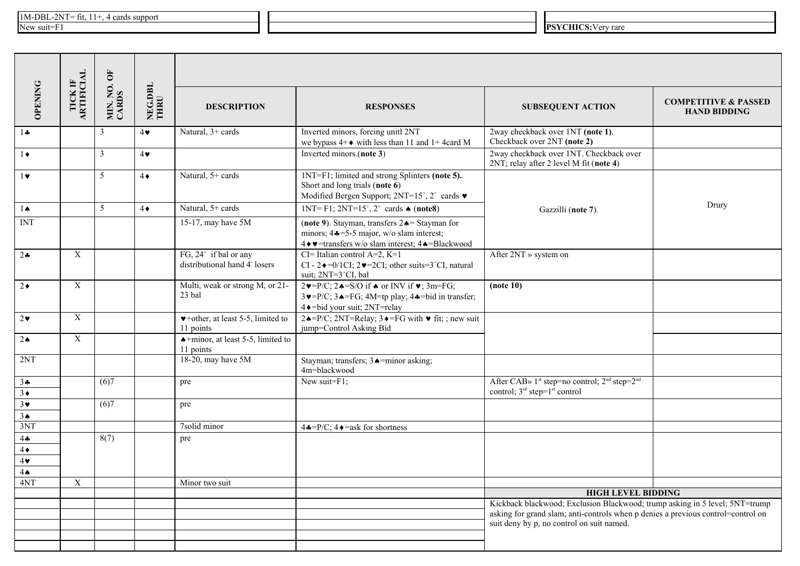|                                                 | TICK IF<br>ARTIFICIAL   | MIN. NO. OF<br>CARDS | NEG.DBL<br>THRU |                                                                     |                                                                                                                                                                                                                                               |                                                                                                                                                                                                              |                                                        |  |  |
|-------------------------------------------------|-------------------------|----------------------|-----------------|---------------------------------------------------------------------|-----------------------------------------------------------------------------------------------------------------------------------------------------------------------------------------------------------------------------------------------|--------------------------------------------------------------------------------------------------------------------------------------------------------------------------------------------------------------|--------------------------------------------------------|--|--|
| <b>OPENING</b>                                  |                         |                      |                 | <b>DESCRIPTION</b>                                                  | <b>RESPONSES</b>                                                                                                                                                                                                                              | <b>SUBSEQUENT ACTION</b>                                                                                                                                                                                     | <b>COMPETITIVE &amp; PASSED</b><br><b>HAND BIDDING</b> |  |  |
| $1 -$                                           |                         | $\overline{3}$       | $4\bullet$      | Natural, $3+$ cards                                                 | Inverted minors, forcing unitl 2NT<br>we bypass $4+\bullet$ with less than 11 and 1+4 card M                                                                                                                                                  | 2way checkback over 1NT (note 1).<br>Checkback over 2NT (note 2)                                                                                                                                             |                                                        |  |  |
| $1\bullet$                                      |                         | 3                    | $4\bullet$      |                                                                     | Inverted minors.(note 3)                                                                                                                                                                                                                      | 2way checkback over 1NT. Checkback over<br>2NT; relay after 2 level M fit (note 4)                                                                                                                           |                                                        |  |  |
| $1$ v                                           |                         | 5                    | $4\bullet$      | Natural, 5+ cards                                                   | 1NT=F1; limited and strong Splinters (note 5).<br>Short and long trials (note 6)<br>Modified Bergen Support; $2NT=15^{\degree}, 2^{\degree}$ cards $\blacktriangledown$                                                                       |                                                                                                                                                                                                              |                                                        |  |  |
| $1 \spadesuit$                                  |                         | $\overline{5}$       | $4\bullet$      | Natural, 5+ cards                                                   | 1NT=F1; 2NT=15 <sup>+</sup> , 2 <sup>+</sup> cards $\triangle$ (note8)                                                                                                                                                                        | Gazzilli (note 7).                                                                                                                                                                                           | Drury                                                  |  |  |
| <b>INT</b>                                      |                         |                      |                 | 15-17, may have 5M                                                  | (note 9). Stayman, transfers $2 \triangle =$ Stayman for<br>minors; $44 = 5 - 5$ major, w/o slam interest;<br>4 + v=transfers w/o slam interest; 4 +=Blackwood                                                                                |                                                                                                                                                                                                              |                                                        |  |  |
| $2 - 2$                                         | $\mathbf X$             |                      |                 | FG, $24^+$ if bal or any<br>distributional hand 4 losers            | CI= Italian control A=2, K=1<br>CI - 2 $\bullet$ =0/1CI; 2 $\bullet$ =2CI; other suits=3 <sup>+</sup> CI, natural<br>suit; 2NT=3 <sup>+</sup> CI, bal                                                                                         | After 2NT » system on                                                                                                                                                                                        |                                                        |  |  |
| $2\bullet$                                      | X                       |                      |                 | Multi, weak or strong M, or 21-<br>23 bal                           | $2\blacktriangleright P/C$ ; $2\blacktriangle = S/O$ if $\blacktriangle$ or INV if $\blacktriangleright$ ; 3m=FG;<br>$3 \vee = P/C$ ; $3 \triangle = FG$ ; $4M = tp$ play; $4 \triangle = bid$ in transfer;<br>4 + = bid your suit; 2NT=relay | $note 10$                                                                                                                                                                                                    |                                                        |  |  |
| $2\bullet$                                      | $\overline{\textbf{X}}$ |                      |                 | $\blacktriangleright$ +other, at least 5-5, limited to<br>11 points | 24=P/C; 2NT=Relay; 3 $\triangleleft$ =FG with $\triangledown$ fit; ; new suit<br>jump=Control Asking Bid                                                                                                                                      |                                                                                                                                                                                                              |                                                        |  |  |
| $2 \triangle$                                   | X                       |                      |                 | $\triangle +$ minor, at least 5-5, limited to<br>11 points          |                                                                                                                                                                                                                                               |                                                                                                                                                                                                              |                                                        |  |  |
| 2NT                                             |                         |                      |                 | 18-20, may have 5M                                                  | Stayman; transfers; 3. = minor asking;<br>4m=blackwood                                                                                                                                                                                        |                                                                                                                                                                                                              |                                                        |  |  |
| 34<br>$3 \bullet$                               |                         | (6)7                 |                 | pre                                                                 | New suit=F1;                                                                                                                                                                                                                                  | After CAB» 1 <sup>st</sup> step=no control; 2 <sup>nd</sup> step=2 <sup>nd</sup><br>control; $3^{rd}$ step= $1^{st}$ control                                                                                 |                                                        |  |  |
| $3*$<br>3 <sub>•</sub>                          |                         | (6)7                 |                 | pre                                                                 |                                                                                                                                                                                                                                               |                                                                                                                                                                                                              |                                                        |  |  |
| 3NT                                             |                         |                      |                 | 7solid minor                                                        | $4\clubsuit = P/C$ ; $4\spadesuit =$ ask for shortness                                                                                                                                                                                        |                                                                                                                                                                                                              |                                                        |  |  |
| 44<br>$4\bullet$<br>$4\bullet$<br>$4\spadesuit$ |                         | 8(7)                 |                 | pre                                                                 |                                                                                                                                                                                                                                               |                                                                                                                                                                                                              |                                                        |  |  |
| 4NT                                             | $\mathbf X$             |                      |                 | Minor two suit                                                      |                                                                                                                                                                                                                                               |                                                                                                                                                                                                              |                                                        |  |  |
|                                                 |                         |                      |                 |                                                                     |                                                                                                                                                                                                                                               | <b>HIGH LEVEL BIDDING</b>                                                                                                                                                                                    |                                                        |  |  |
|                                                 |                         |                      |                 |                                                                     |                                                                                                                                                                                                                                               | Kickback blackwood; Exclusion Blackwood; trump asking in 5 level; 5NT=trump<br>asking for grand slam; anti-controls when p denies a previous control=control on<br>suit deny by p, no control on suit named. |                                                        |  |  |